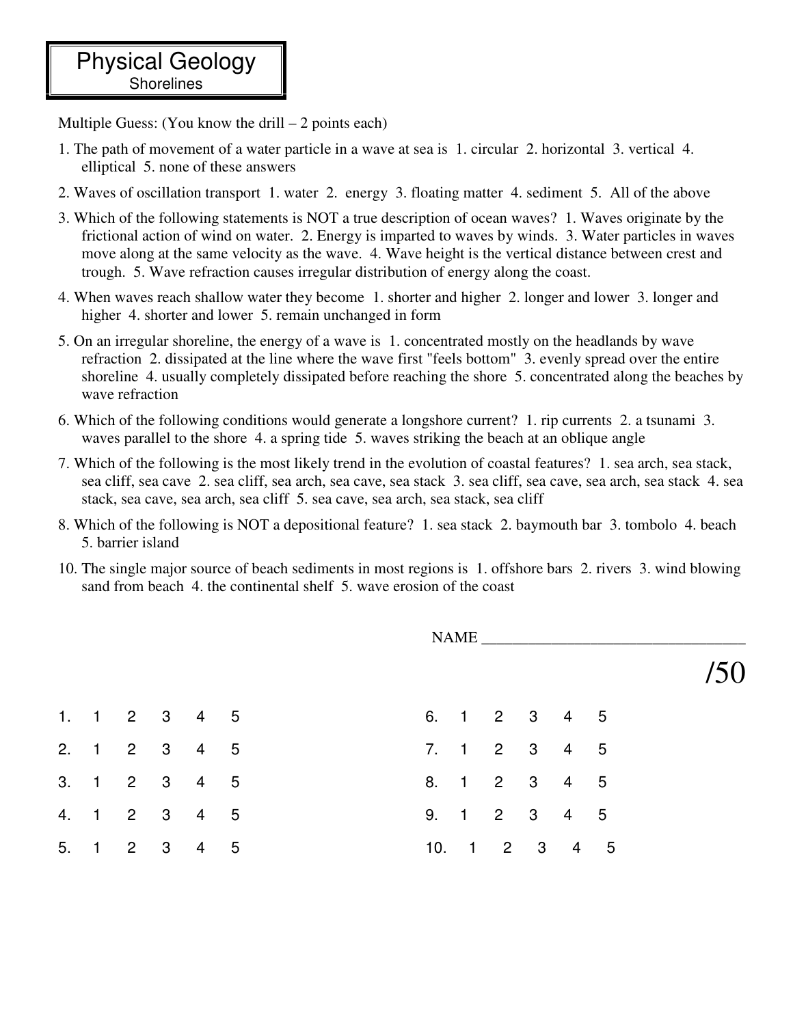Multiple Guess: (You know the drill  $-2$  points each)

- 1. The path of movement of a water particle in a wave at sea is 1. circular 2. horizontal 3. vertical 4. elliptical 5. none of these answers
- 2. Waves of oscillation transport 1. water 2. energy 3. floating matter 4. sediment 5. All of the above
- 3. Which of the following statements is NOT a true description of ocean waves? 1. Waves originate by the frictional action of wind on water. 2. Energy is imparted to waves by winds. 3. Water particles in waves move along at the same velocity as the wave. 4. Wave height is the vertical distance between crest and trough. 5. Wave refraction causes irregular distribution of energy along the coast.
- 4. When waves reach shallow water they become 1. shorter and higher 2. longer and lower 3. longer and higher 4. shorter and lower 5. remain unchanged in form
- 5. On an irregular shoreline, the energy of a wave is 1. concentrated mostly on the headlands by wave refraction 2. dissipated at the line where the wave first "feels bottom" 3. evenly spread over the entire shoreline 4. usually completely dissipated before reaching the shore 5. concentrated along the beaches by wave refraction
- 6. Which of the following conditions would generate a longshore current? 1. rip currents 2. a tsunami 3. waves parallel to the shore 4. a spring tide 5. waves striking the beach at an oblique angle
- 7. Which of the following is the most likely trend in the evolution of coastal features? 1. sea arch, sea stack, sea cliff, sea cave 2. sea cliff, sea arch, sea cave, sea stack 3. sea cliff, sea cave, sea arch, sea stack 4. sea stack, sea cave, sea arch, sea cliff 5. sea cave, sea arch, sea stack, sea cliff
- 8. Which of the following is NOT a depositional feature? 1. sea stack 2. baymouth bar 3. tombolo 4. beach 5. barrier island
- 10. The single major source of beach sediments in most regions is 1. offshore bars 2. rivers 3. wind blowing sand from beach 4. the continental shelf 5. wave erosion of the coast

|  | NAME         |  |  |  |  |  |               |  |  |  |  |
|--|--------------|--|--|--|--|--|---------------|--|--|--|--|
|  |              |  |  |  |  |  |               |  |  |  |  |
|  | 1. 1 2 3 4 5 |  |  |  |  |  | 6. 1 2 3 4 5  |  |  |  |  |
|  | 2. 1 2 3 4 5 |  |  |  |  |  | 7. 1 2 3 4 5  |  |  |  |  |
|  | 3. 1 2 3 4 5 |  |  |  |  |  | 8. 1 2 3 4 5  |  |  |  |  |
|  | 4. 1 2 3 4 5 |  |  |  |  |  | 9. 1 2 3 4 5  |  |  |  |  |
|  | 5. 1 2 3 4 5 |  |  |  |  |  | 10. 1 2 3 4 5 |  |  |  |  |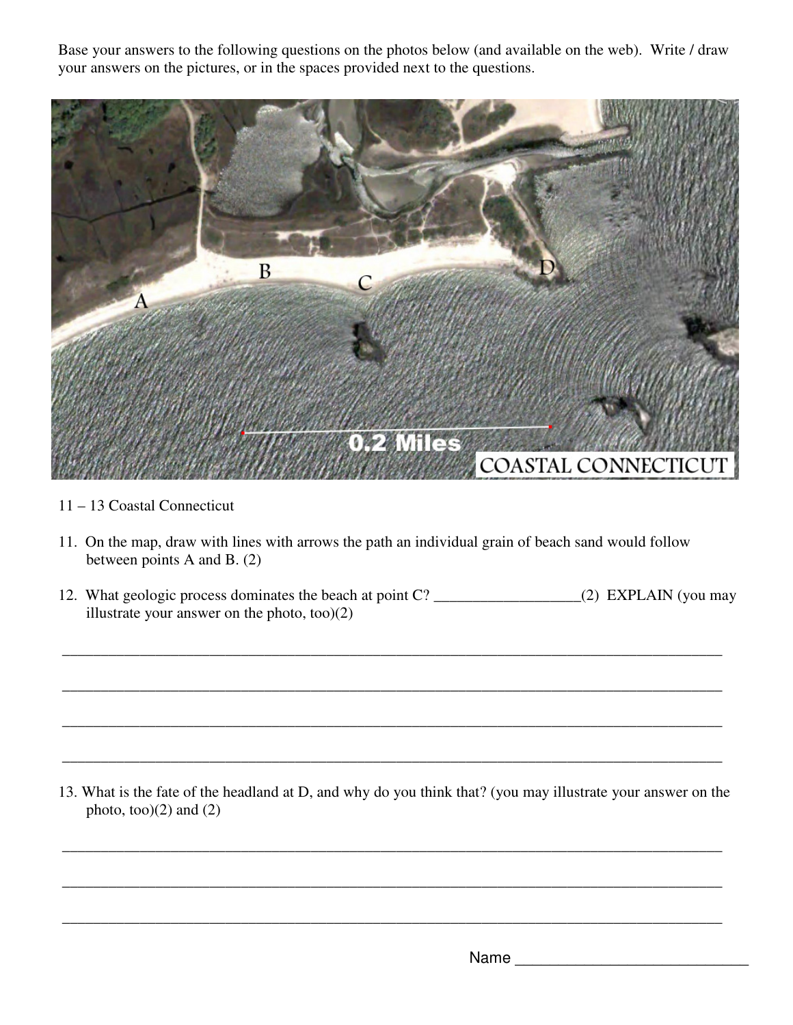Base your answers to the following questions on the photos below (and available on the web). Write / draw your answers on the pictures, or in the spaces provided next to the questions.



- 11 13 Coastal Connecticut
- 11. On the map, draw with lines with arrows the path an individual grain of beach sand would follow between points A and B. (2)
- 12. What geologic process dominates the beach at point C? \_\_\_\_\_\_\_\_\_\_\_\_\_\_\_\_\_\_\_\_\_\_(2) EXPLAIN (you may illustrate your answer on the photo, too)(2)

\_\_\_\_\_\_\_\_\_\_\_\_\_\_\_\_\_\_\_\_\_\_\_\_\_\_\_\_\_\_\_\_\_\_\_\_\_\_\_\_\_\_\_\_\_\_\_\_\_\_\_\_\_\_\_\_\_\_\_\_\_\_\_\_\_\_\_\_\_\_\_\_\_\_\_\_\_\_\_\_\_\_\_\_\_

\_\_\_\_\_\_\_\_\_\_\_\_\_\_\_\_\_\_\_\_\_\_\_\_\_\_\_\_\_\_\_\_\_\_\_\_\_\_\_\_\_\_\_\_\_\_\_\_\_\_\_\_\_\_\_\_\_\_\_\_\_\_\_\_\_\_\_\_\_\_\_\_\_\_\_\_\_\_\_\_\_\_\_\_\_

\_\_\_\_\_\_\_\_\_\_\_\_\_\_\_\_\_\_\_\_\_\_\_\_\_\_\_\_\_\_\_\_\_\_\_\_\_\_\_\_\_\_\_\_\_\_\_\_\_\_\_\_\_\_\_\_\_\_\_\_\_\_\_\_\_\_\_\_\_\_\_\_\_\_\_\_\_\_\_\_\_\_\_\_\_

 $\overline{\phantom{a}}$  ,  $\overline{\phantom{a}}$  ,  $\overline{\phantom{a}}$  ,  $\overline{\phantom{a}}$  ,  $\overline{\phantom{a}}$  ,  $\overline{\phantom{a}}$  ,  $\overline{\phantom{a}}$  ,  $\overline{\phantom{a}}$  ,  $\overline{\phantom{a}}$  ,  $\overline{\phantom{a}}$  ,  $\overline{\phantom{a}}$  ,  $\overline{\phantom{a}}$  ,  $\overline{\phantom{a}}$  ,  $\overline{\phantom{a}}$  ,  $\overline{\phantom{a}}$  ,  $\overline{\phantom{a}}$ 

13. What is the fate of the headland at D, and why do you think that? (you may illustrate your answer on the photo, too $(2)$  and  $(2)$ 

 $\overline{\phantom{a}}$  ,  $\overline{\phantom{a}}$  ,  $\overline{\phantom{a}}$  ,  $\overline{\phantom{a}}$  ,  $\overline{\phantom{a}}$  ,  $\overline{\phantom{a}}$  ,  $\overline{\phantom{a}}$  ,  $\overline{\phantom{a}}$  ,  $\overline{\phantom{a}}$  ,  $\overline{\phantom{a}}$  ,  $\overline{\phantom{a}}$  ,  $\overline{\phantom{a}}$  ,  $\overline{\phantom{a}}$  ,  $\overline{\phantom{a}}$  ,  $\overline{\phantom{a}}$  ,  $\overline{\phantom{a}}$ 

\_\_\_\_\_\_\_\_\_\_\_\_\_\_\_\_\_\_\_\_\_\_\_\_\_\_\_\_\_\_\_\_\_\_\_\_\_\_\_\_\_\_\_\_\_\_\_\_\_\_\_\_\_\_\_\_\_\_\_\_\_\_\_\_\_\_\_\_\_\_\_\_\_\_\_\_\_\_\_\_\_\_\_\_\_

\_\_\_\_\_\_\_\_\_\_\_\_\_\_\_\_\_\_\_\_\_\_\_\_\_\_\_\_\_\_\_\_\_\_\_\_\_\_\_\_\_\_\_\_\_\_\_\_\_\_\_\_\_\_\_\_\_\_\_\_\_\_\_\_\_\_\_\_\_\_\_\_\_\_\_\_\_\_\_\_\_\_\_\_\_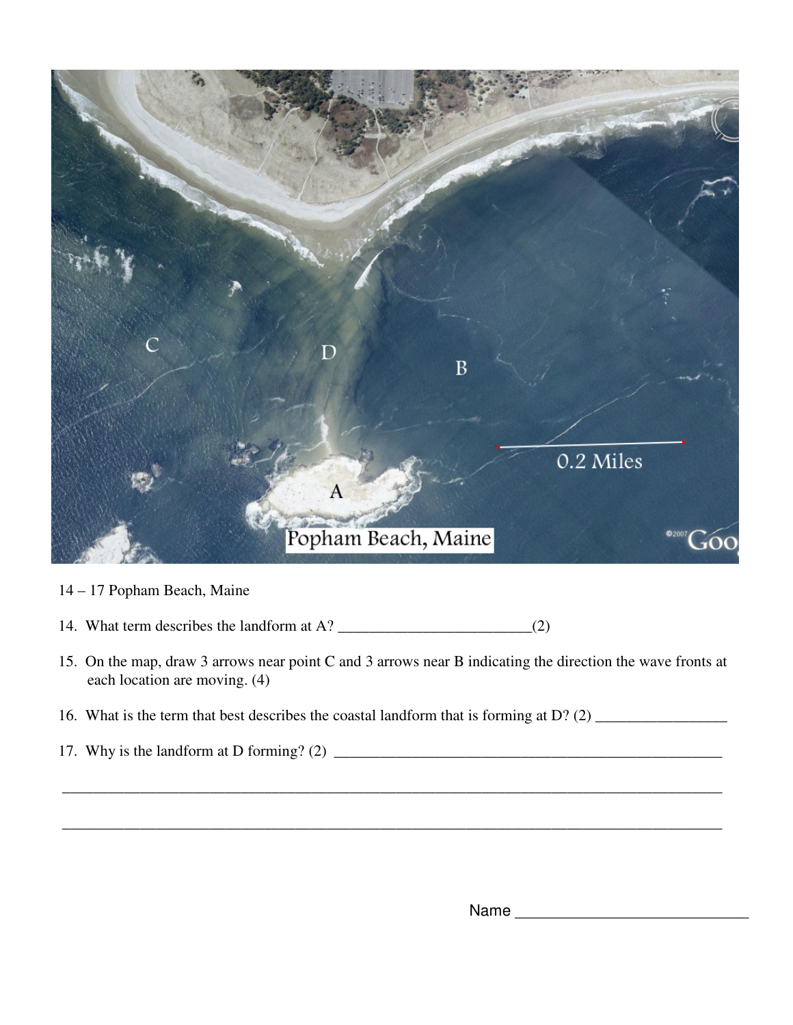

- 14 17 Popham Beach, Maine
- 14. What term describes the landform at A?  $\qquad$  (2)
- 15. On the map, draw 3 arrows near point C and 3 arrows near B indicating the direction the wave fronts at each location are moving. (4)

\_\_\_\_\_\_\_\_\_\_\_\_\_\_\_\_\_\_\_\_\_\_\_\_\_\_\_\_\_\_\_\_\_\_\_\_\_\_\_\_\_\_\_\_\_\_\_\_\_\_\_\_\_\_\_\_\_\_\_\_\_\_\_\_\_\_\_\_\_\_\_\_\_\_\_\_\_\_\_\_\_\_\_\_\_

\_\_\_\_\_\_\_\_\_\_\_\_\_\_\_\_\_\_\_\_\_\_\_\_\_\_\_\_\_\_\_\_\_\_\_\_\_\_\_\_\_\_\_\_\_\_\_\_\_\_\_\_\_\_\_\_\_\_\_\_\_\_\_\_\_\_\_\_\_\_\_\_\_\_\_\_\_\_\_\_\_\_\_\_\_

- 16. What is the term that best describes the coastal landform that is forming at D? (2) \_\_\_\_\_\_\_\_\_\_\_\_\_\_\_\_\_
- 17. Why is the landform at D forming? (2) \_\_\_\_\_\_\_\_\_\_\_\_\_\_\_\_\_\_\_\_\_\_\_\_\_\_\_\_\_\_\_\_\_\_\_\_\_\_\_\_\_\_\_\_\_\_\_\_\_\_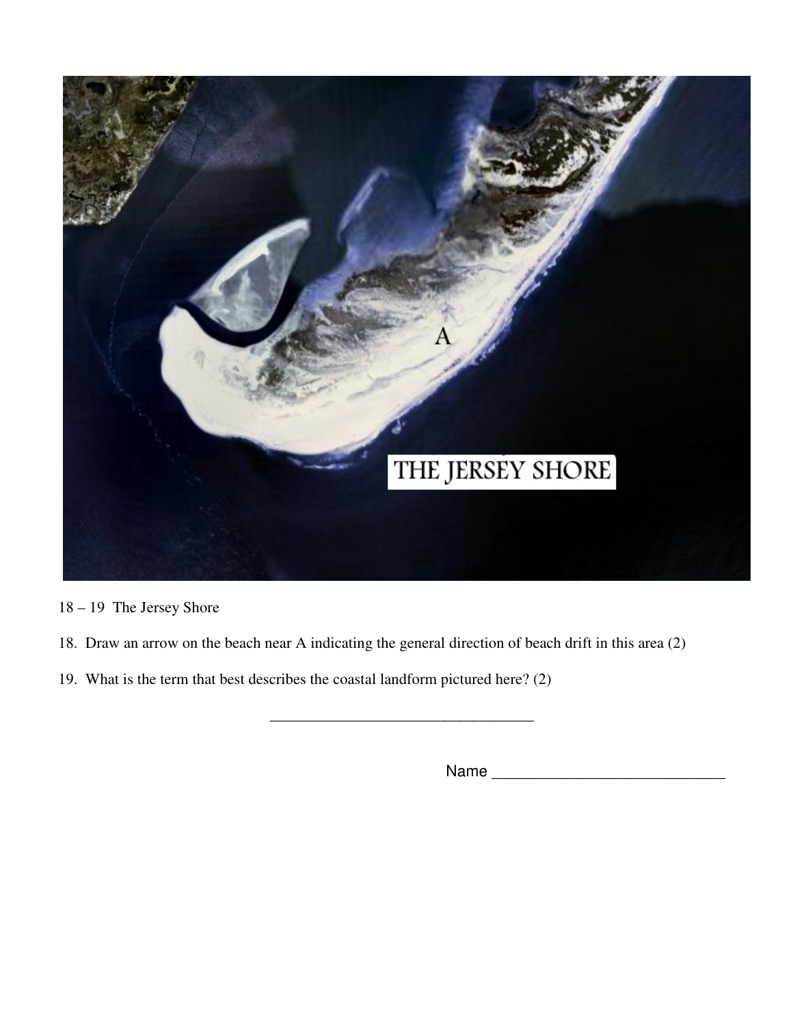

- 18 19 The Jersey Shore
- 18. Draw an arrow on the beach near A indicating the general direction of beach drift in this area (2)

\_\_\_\_\_\_\_\_\_\_\_\_\_\_\_\_\_\_\_\_\_\_\_\_\_\_\_\_\_\_\_\_\_\_

19. What is the term that best describes the coastal landform pictured here? (2)

Name \_\_\_\_\_\_\_\_\_\_\_\_\_\_\_\_\_\_\_\_\_\_\_\_\_\_\_